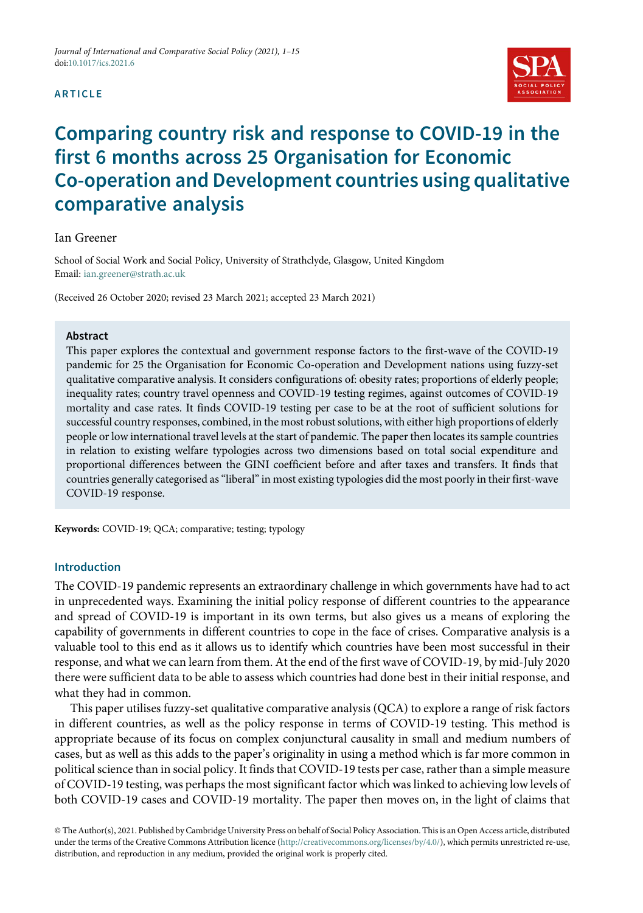#### ARTICLE



# Comparing country risk and response to COVID-19 in the first 6 months across 25 Organisation for Economic Co-operation and Development countries using qualitative comparative analysis

#### Ian Greener

School of Social Work and Social Policy, University of Strathclyde, Glasgow, United Kingdom Email: [ian.greener@strath.ac.uk](mailto:ian.greener@strath.ac.uk)

(Received 26 October 2020; revised 23 March 2021; accepted 23 March 2021)

#### Abstract

This paper explores the contextual and government response factors to the first-wave of the COVID-19 pandemic for 25 the Organisation for Economic Co-operation and Development nations using fuzzy-set qualitative comparative analysis. It considers configurations of: obesity rates; proportions of elderly people; inequality rates; country travel openness and COVID-19 testing regimes, against outcomes of COVID-19 mortality and case rates. It finds COVID-19 testing per case to be at the root of sufficient solutions for successful country responses, combined, in the most robust solutions, with either high proportions of elderly people or low international travel levels at the start of pandemic. The paper then locates its sample countries in relation to existing welfare typologies across two dimensions based on total social expenditure and proportional differences between the GINI coefficient before and after taxes and transfers. It finds that countries generally categorised as"liberal"in most existing typologies did the most poorly in their first-wave COVID-19 response.

Keywords: COVID-19; QCA; comparative; testing; typology

# Introduction

The COVID-19 pandemic represents an extraordinary challenge in which governments have had to act in unprecedented ways. Examining the initial policy response of different countries to the appearance and spread of COVID-19 is important in its own terms, but also gives us a means of exploring the capability of governments in different countries to cope in the face of crises. Comparative analysis is a valuable tool to this end as it allows us to identify which countries have been most successful in their response, and what we can learn from them. At the end of the first wave of COVID-19, by mid-July 2020 there were sufficient data to be able to assess which countries had done best in their initial response, and what they had in common.

This paper utilises fuzzy-set qualitative comparative analysis (QCA) to explore a range of risk factors in different countries, as well as the policy response in terms of COVID-19 testing. This method is appropriate because of its focus on complex conjunctural causality in small and medium numbers of cases, but as well as this adds to the paper's originality in using a method which is far more common in political science than in social policy. It finds that COVID-19 tests per case, rather than a simple measure of COVID-19 testing, was perhaps the most significant factor which was linked to achieving low levels of both COVID-19 cases and COVID-19 mortality. The paper then moves on, in the light of claims that

© The Author(s), 2021. Published by Cambridge University Press on behalf of Social Policy Association. This is an Open Access article, distributed under the terms of the Creative Commons Attribution licence [\(http://creativecommons.org/licenses/by/4.0/\)](http://creativecommons.org/licenses/by/4.0/), which permits unrestricted re-use, distribution, and reproduction in any medium, provided the original work is properly cited.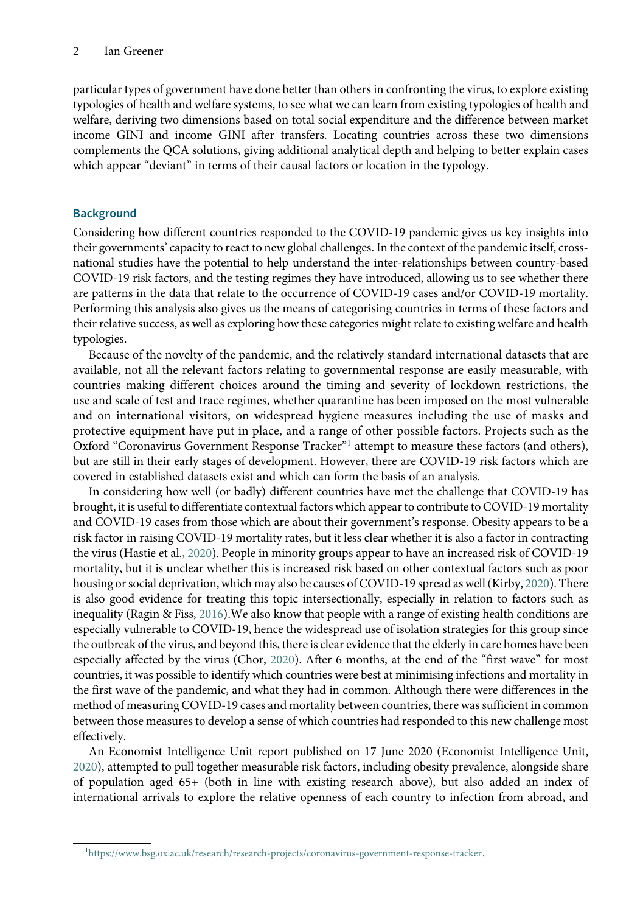particular types of government have done better than others in confronting the virus, to explore existing typologies of health and welfare systems, to see what we can learn from existing typologies of health and welfare, deriving two dimensions based on total social expenditure and the difference between market income GINI and income GINI after transfers. Locating countries across these two dimensions complements the QCA solutions, giving additional analytical depth and helping to better explain cases which appear "deviant" in terms of their causal factors or location in the typology.

# **Background**

Considering how different countries responded to the COVID-19 pandemic gives us key insights into their governments' capacity to react to new global challenges. In the context of the pandemic itself, crossnational studies have the potential to help understand the inter-relationships between country-based COVID-19 risk factors, and the testing regimes they have introduced, allowing us to see whether there are patterns in the data that relate to the occurrence of COVID-19 cases and/or COVID-19 mortality. Performing this analysis also gives us the means of categorising countries in terms of these factors and their relative success, as well as exploring how these categories might relate to existing welfare and health typologies.

Because of the novelty of the pandemic, and the relatively standard international datasets that are available, not all the relevant factors relating to governmental response are easily measurable, with countries making different choices around the timing and severity of lockdown restrictions, the use and scale of test and trace regimes, whether quarantine has been imposed on the most vulnerable and on international visitors, on widespread hygiene measures including the use of masks and protective equipment have put in place, and a range of other possible factors. Projects such as the Oxford "Coronavirus Government Response Tracker"[1](#page-1-0) attempt to measure these factors (and others), but are still in their early stages of development. However, there are COVID-19 risk factors which are covered in established datasets exist and which can form the basis of an analysis.

In considering how well (or badly) different countries have met the challenge that COVID-19 has brought, it is useful to differentiate contextual factors which appear to contribute to COVID-19 mortality and COVID-19 cases from those which are about their government's response. Obesity appears to be a risk factor in raising COVID-19 mortality rates, but it less clear whether it is also a factor in contracting the virus (Hastie et al., [2020\)](#page-13-0). People in minority groups appear to have an increased risk of COVID-19 mortality, but it is unclear whether this is increased risk based on other contextual factors such as poor housing or social deprivation, which may also be causes of COVID-19 spread as well (Kirby, [2020\)](#page-13-1). There is also good evidence for treating this topic intersectionally, especially in relation to factors such as inequality (Ragin & Fiss, [2016](#page-13-2)).We also know that people with a range of existing health conditions are especially vulnerable to COVID-19, hence the widespread use of isolation strategies for this group since the outbreak of the virus, and beyond this, there is clear evidence that the elderly in care homes have been especially affected by the virus (Chor, [2020](#page-13-3)). After 6 months, at the end of the "first wave" for most countries, it was possible to identify which countries were best at minimising infections and mortality in the first wave of the pandemic, and what they had in common. Although there were differences in the method of measuring COVID-19 cases and mortality between countries, there was sufficient in common between those measures to develop a sense of which countries had responded to this new challenge most effectively.

An Economist Intelligence Unit report published on 17 June 2020 (Economist Intelligence Unit, [2020\)](#page-13-4), attempted to pull together measurable risk factors, including obesity prevalence, alongside share of population aged 65+ (both in line with existing research above), but also added an index of international arrivals to explore the relative openness of each country to infection from abroad, and

<span id="page-1-0"></span><sup>1</sup> <https://www.bsg.ox.ac.uk/research/research-projects/coronavirus-government-response-tracker>.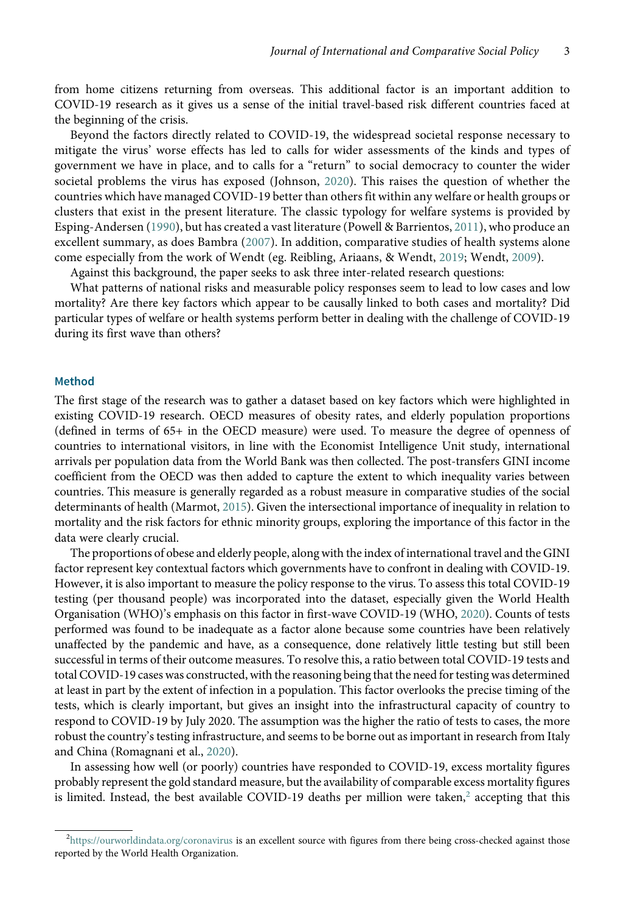from home citizens returning from overseas. This additional factor is an important addition to COVID-19 research as it gives us a sense of the initial travel-based risk different countries faced at the beginning of the crisis.

Beyond the factors directly related to COVID-19, the widespread societal response necessary to mitigate the virus' worse effects has led to calls for wider assessments of the kinds and types of government we have in place, and to calls for a "return" to social democracy to counter the wider societal problems the virus has exposed (Johnson, [2020\)](#page-13-5). This raises the question of whether the countries which have managed COVID-19 better than others fit within any welfare or health groups or clusters that exist in the present literature. The classic typology for welfare systems is provided by Esping-Andersen ([1990\)](#page-13-6), but has created a vast literature (Powell & Barrientos, [2011\)](#page-13-7), who produce an excellent summary, as does Bambra ([2007](#page-13-8)). In addition, comparative studies of health systems alone come especially from the work of Wendt (eg. Reibling, Ariaans, & Wendt, [2019](#page-13-9); Wendt, [2009\)](#page-14-0).

Against this background, the paper seeks to ask three inter-related research questions:

What patterns of national risks and measurable policy responses seem to lead to low cases and low mortality? Are there key factors which appear to be causally linked to both cases and mortality? Did particular types of welfare or health systems perform better in dealing with the challenge of COVID-19 during its first wave than others?

# Method

The first stage of the research was to gather a dataset based on key factors which were highlighted in existing COVID-19 research. OECD measures of obesity rates, and elderly population proportions (defined in terms of 65+ in the OECD measure) were used. To measure the degree of openness of countries to international visitors, in line with the Economist Intelligence Unit study, international arrivals per population data from the World Bank was then collected. The post-transfers GINI income coefficient from the OECD was then added to capture the extent to which inequality varies between countries. This measure is generally regarded as a robust measure in comparative studies of the social determinants of health (Marmot, [2015](#page-13-10)). Given the intersectional importance of inequality in relation to mortality and the risk factors for ethnic minority groups, exploring the importance of this factor in the data were clearly crucial.

The proportions of obese and elderly people, along with the index of international travel and the GINI factor represent key contextual factors which governments have to confront in dealing with COVID-19. However, it is also important to measure the policy response to the virus. To assess this total COVID-19 testing (per thousand people) was incorporated into the dataset, especially given the World Health Organisation (WHO)'s emphasis on this factor in first-wave COVID-19 (WHO, [2020](#page-14-1)). Counts of tests performed was found to be inadequate as a factor alone because some countries have been relatively unaffected by the pandemic and have, as a consequence, done relatively little testing but still been successful in terms of their outcome measures. To resolve this, a ratio between total COVID-19 tests and total COVID-19 cases was constructed, with the reasoning being that the need for testing was determined at least in part by the extent of infection in a population. This factor overlooks the precise timing of the tests, which is clearly important, but gives an insight into the infrastructural capacity of country to respond to COVID-19 by July 2020. The assumption was the higher the ratio of tests to cases, the more robust the country's testing infrastructure, and seems to be borne out as important in research from Italy and China (Romagnani et al., [2020](#page-13-11)).

In assessing how well (or poorly) countries have responded to COVID-19, excess mortality figures probably represent the gold standard measure, but the availability of comparable excess mortality figures is limited. Instead, the best available COVID-19 deaths per million were taken,<sup>[2](#page-2-0)</sup> accepting that this

<span id="page-2-0"></span><sup>&</sup>lt;sup>2</sup><https://ourworldindata.org/coronavirus> i**s an excellent source with figures from there being cross-checked against those** reported by the World Health Organization.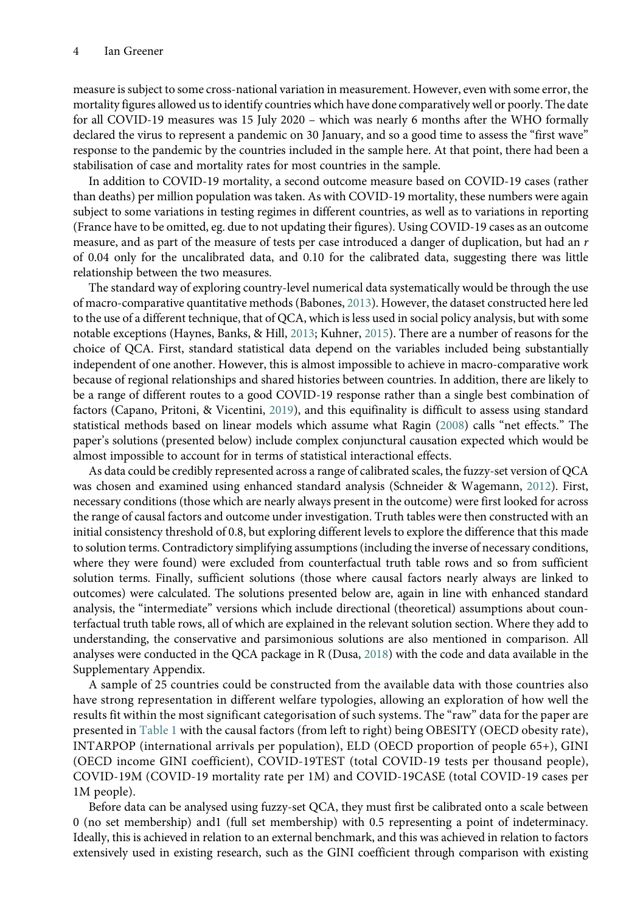measure is subject to some cross-national variation in measurement. However, even with some error, the mortality figures allowed us to identify countries which have done comparatively well or poorly. The date for all COVID-19 measures was 15 July 2020 – which was nearly 6 months after the WHO formally declared the virus to represent a pandemic on 30 January, and so a good time to assess the "first wave" response to the pandemic by the countries included in the sample here. At that point, there had been a stabilisation of case and mortality rates for most countries in the sample.

In addition to COVID-19 mortality, a second outcome measure based on COVID-19 cases (rather than deaths) per million population was taken. As with COVID-19 mortality, these numbers were again subject to some variations in testing regimes in different countries, as well as to variations in reporting (France have to be omitted, eg. due to not updating their figures). Using COVID-19 cases as an outcome measure, and as part of the measure of tests per case introduced a danger of duplication, but had an r of 0.04 only for the uncalibrated data, and 0.10 for the calibrated data, suggesting there was little relationship between the two measures.

The standard way of exploring country-level numerical data systematically would be through the use of macro-comparative quantitative methods (Babones, [2013\)](#page-13-12). However, the dataset constructed here led to the use of a different technique, that of QCA, which is less used in social policy analysis, but with some notable exceptions (Haynes, Banks, & Hill, [2013](#page-13-13); Kuhner, [2015](#page-13-14)). There are a number of reasons for the choice of QCA. First, standard statistical data depend on the variables included being substantially independent of one another. However, this is almost impossible to achieve in macro-comparative work because of regional relationships and shared histories between countries. In addition, there are likely to be a range of different routes to a good COVID-19 response rather than a single best combination of factors (Capano, Pritoni, & Vicentini, [2019](#page-13-15)), and this equifinality is difficult to assess using standard statistical methods based on linear models which assume what Ragin ([2008](#page-13-16)) calls "net effects." The paper's solutions (presented below) include complex conjunctural causation expected which would be almost impossible to account for in terms of statistical interactional effects.

As data could be credibly represented across a range of calibrated scales, the fuzzy-set version of QCA was chosen and examined using enhanced standard analysis (Schneider & Wagemann, [2012\)](#page-14-2). First, necessary conditions (those which are nearly always present in the outcome) were first looked for across the range of causal factors and outcome under investigation. Truth tables were then constructed with an initial consistency threshold of 0.8, but exploring different levels to explore the difference that this made to solution terms. Contradictory simplifying assumptions (including the inverse of necessary conditions, where they were found) were excluded from counterfactual truth table rows and so from sufficient solution terms. Finally, sufficient solutions (those where causal factors nearly always are linked to outcomes) were calculated. The solutions presented below are, again in line with enhanced standard analysis, the "intermediate" versions which include directional (theoretical) assumptions about counterfactual truth table rows, all of which are explained in the relevant solution section. Where they add to understanding, the conservative and parsimonious solutions are also mentioned in comparison. All analyses were conducted in the QCA package in R (Dusa, [2018\)](#page-13-17) with the code and data available in the Supplementary Appendix.

A sample of 25 countries could be constructed from the available data with those countries also have strong representation in different welfare typologies, allowing an exploration of how well the results fit within the most significant categorisation of such systems. The "raw" data for the paper are presented in [Table 1](#page-4-0) with the causal factors (from left to right) being OBESITY (OECD obesity rate), INTARPOP (international arrivals per population), ELD (OECD proportion of people 65+), GINI (OECD income GINI coefficient), COVID-19TEST (total COVID-19 tests per thousand people), COVID-19M (COVID-19 mortality rate per 1M) and COVID-19CASE (total COVID-19 cases per 1M people).

Before data can be analysed using fuzzy-set QCA, they must first be calibrated onto a scale between 0 (no set membership) and1 (full set membership) with 0.5 representing a point of indeterminacy. Ideally, this is achieved in relation to an external benchmark, and this was achieved in relation to factors extensively used in existing research, such as the GINI coefficient through comparison with existing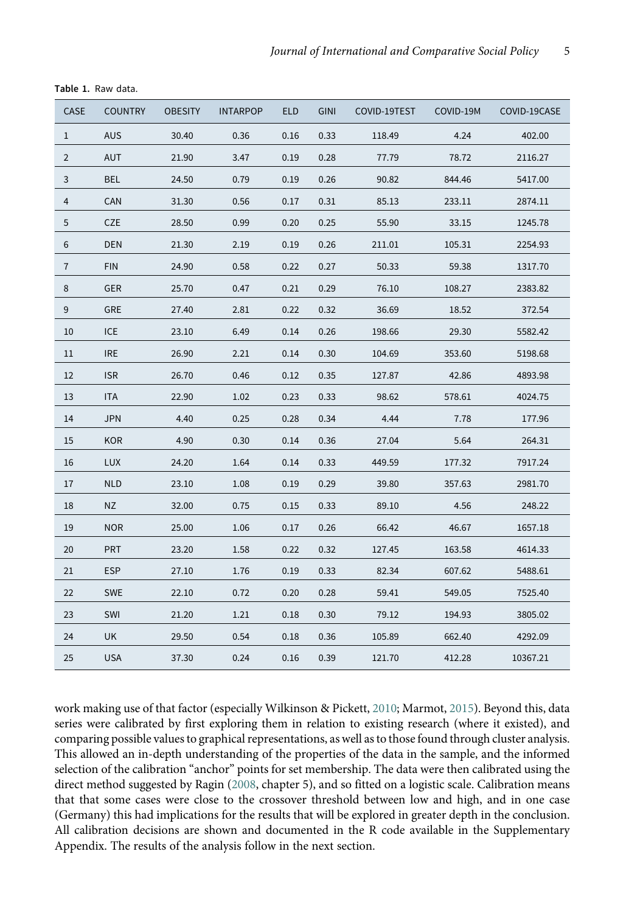| CASE        | <b>COUNTRY</b> | <b>OBESITY</b> | <b>INTARPOP</b> | <b>ELD</b> | <b>GINI</b> | COVID-19TEST | COVID-19M | COVID-19CASE |
|-------------|----------------|----------------|-----------------|------------|-------------|--------------|-----------|--------------|
| $\mathbf 1$ | <b>AUS</b>     | 30.40          | 0.36            | 0.16       | 0.33        | 118.49       | 4.24      | 402.00       |
| 2           | <b>AUT</b>     | 21.90          | 3.47            | 0.19       | 0.28        | 77.79        | 78.72     | 2116.27      |
| 3           | <b>BEL</b>     | 24.50          | 0.79            | 0.19       | 0.26        | 90.82        | 844.46    | 5417.00      |
| 4           | CAN            | 31.30          | 0.56            | 0.17       | 0.31        | 85.13        | 233.11    | 2874.11      |
| 5           | <b>CZE</b>     | 28.50          | 0.99            | 0.20       | 0.25        | 55.90        | 33.15     | 1245.78      |
| 6           | DEN            | 21.30          | 2.19            | 0.19       | 0.26        | 211.01       | 105.31    | 2254.93      |
| 7           | <b>FIN</b>     | 24.90          | 0.58            | 0.22       | 0.27        | 50.33        | 59.38     | 1317.70      |
| 8           | <b>GER</b>     | 25.70          | 0.47            | 0.21       | 0.29        | 76.10        | 108.27    | 2383.82      |
| 9           | GRE            | 27.40          | 2.81            | 0.22       | 0.32        | 36.69        | 18.52     | 372.54       |
| 10          | <b>ICE</b>     | 23.10          | 6.49            | 0.14       | 0.26        | 198.66       | 29.30     | 5582.42      |
| 11          | <b>IRE</b>     | 26.90          | 2.21            | 0.14       | 0.30        | 104.69       | 353.60    | 5198.68      |
| 12          | <b>ISR</b>     | 26.70          | 0.46            | 0.12       | 0.35        | 127.87       | 42.86     | 4893.98      |
| 13          | ITA            | 22.90          | 1.02            | 0.23       | 0.33        | 98.62        | 578.61    | 4024.75      |
| $14\,$      | <b>JPN</b>     | 4.40           | 0.25            | 0.28       | 0.34        | 4.44         | 7.78      | 177.96       |
| $15\,$      | <b>KOR</b>     | 4.90           | 0.30            | 0.14       | 0.36        | 27.04        | 5.64      | 264.31       |
| $16\,$      | <b>LUX</b>     | 24.20          | 1.64            | 0.14       | 0.33        | 449.59       | 177.32    | 7917.24      |
| 17          | <b>NLD</b>     | 23.10          | 1.08            | 0.19       | 0.29        | 39.80        | 357.63    | 2981.70      |
| 18          | NZ             | 32.00          | 0.75            | 0.15       | 0.33        | 89.10        | 4.56      | 248.22       |
| 19          | <b>NOR</b>     | 25.00          | 1.06            | 0.17       | 0.26        | 66.42        | 46.67     | 1657.18      |
| 20          | <b>PRT</b>     | 23.20          | 1.58            | 0.22       | 0.32        | 127.45       | 163.58    | 4614.33      |
| 21          | <b>ESP</b>     | 27.10          | 1.76            | 0.19       | 0.33        | 82.34        | 607.62    | 5488.61      |
| 22          | <b>SWE</b>     | 22.10          | 0.72            | 0.20       | 0.28        | 59.41        | 549.05    | 7525.40      |
| 23          | SWI            | 21.20          | 1.21            | 0.18       | 0.30        | 79.12        | 194.93    | 3805.02      |
| 24          | <b>UK</b>      | 29.50          | 0.54            | 0.18       | 0.36        | 105.89       | 662.40    | 4292.09      |
| 25          | USA            | 37.30          | 0.24            | 0.16       | 0.39        | 121.70       | 412.28    | 10367.21     |

<span id="page-4-0"></span>Table 1. Raw data.

work making use of that factor (especially Wilkinson & Pickett, [2010](#page-14-3); Marmot, [2015\)](#page-13-10). Beyond this, data series were calibrated by first exploring them in relation to existing research (where it existed), and comparing possible values to graphical representations, as well as to those found through cluster analysis. This allowed an in-depth understanding of the properties of the data in the sample, and the informed selection of the calibration "anchor" points for set membership. The data were then calibrated using the direct method suggested by Ragin ([2008](#page-13-16), chapter 5), and so fitted on a logistic scale. Calibration means that that some cases were close to the crossover threshold between low and high, and in one case (Germany) this had implications for the results that will be explored in greater depth in the conclusion. All calibration decisions are shown and documented in the R code available in the Supplementary Appendix. The results of the analysis follow in the next section.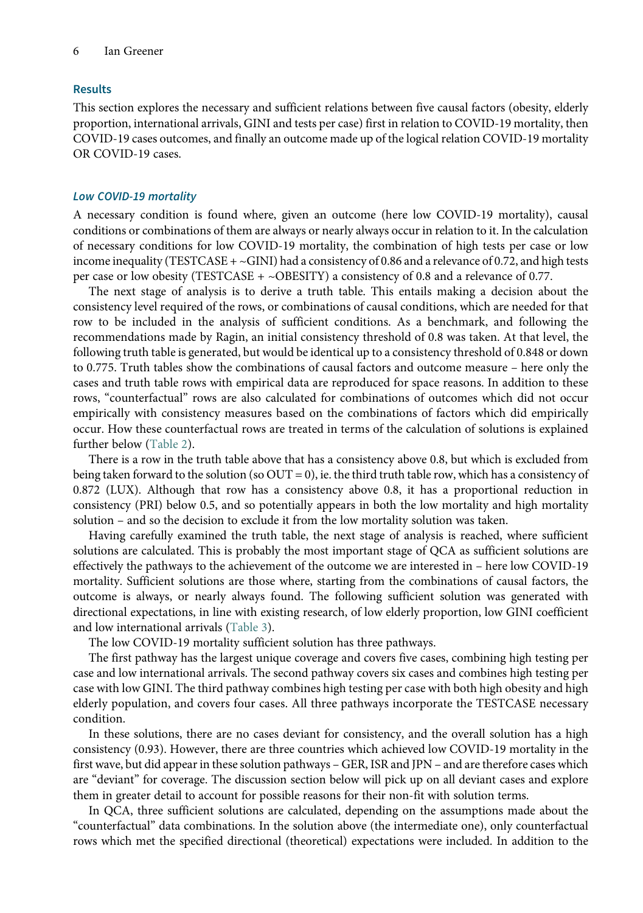# Results

This section explores the necessary and sufficient relations between five causal factors (obesity, elderly proportion, international arrivals, GINI and tests per case) first in relation to COVID-19 mortality, then COVID-19 cases outcomes, and finally an outcome made up of the logical relation COVID-19 mortality OR COVID-19 cases.

# Low COVID-19 mortality

A necessary condition is found where, given an outcome (here low COVID-19 mortality), causal conditions or combinations of them are always or nearly always occur in relation to it. In the calculation of necessary conditions for low COVID-19 mortality, the combination of high tests per case or low income inequality (TESTCASE  $+ \sim$ GINI) had a consistency of 0.86 and a relevance of 0.72, and high tests per case or low obesity (TESTCASE +  $\sim$ OBESITY) a consistency of 0.8 and a relevance of 0.77.

The next stage of analysis is to derive a truth table. This entails making a decision about the consistency level required of the rows, or combinations of causal conditions, which are needed for that row to be included in the analysis of sufficient conditions. As a benchmark, and following the recommendations made by Ragin, an initial consistency threshold of 0.8 was taken. At that level, the following truth table is generated, but would be identical up to a consistency threshold of 0.848 or down to 0.775. Truth tables show the combinations of causal factors and outcome measure – here only the cases and truth table rows with empirical data are reproduced for space reasons. In addition to these rows, "counterfactual" rows are also calculated for combinations of outcomes which did not occur empirically with consistency measures based on the combinations of factors which did empirically occur. How these counterfactual rows are treated in terms of the calculation of solutions is explained further below ([Table 2\)](#page-6-0).

There is a row in the truth table above that has a consistency above 0.8, but which is excluded from being taken forward to the solution (so  $OUT = 0$ ), ie. the third truth table row, which has a consistency of 0.872 (LUX). Although that row has a consistency above 0.8, it has a proportional reduction in consistency (PRI) below 0.5, and so potentially appears in both the low mortality and high mortality solution – and so the decision to exclude it from the low mortality solution was taken.

Having carefully examined the truth table, the next stage of analysis is reached, where sufficient solutions are calculated. This is probably the most important stage of QCA as sufficient solutions are effectively the pathways to the achievement of the outcome we are interested in – here low COVID-19 mortality. Sufficient solutions are those where, starting from the combinations of causal factors, the outcome is always, or nearly always found. The following sufficient solution was generated with directional expectations, in line with existing research, of low elderly proportion, low GINI coefficient and low international arrivals [\(Table 3](#page-6-1)).

The low COVID-19 mortality sufficient solution has three pathways.

The first pathway has the largest unique coverage and covers five cases, combining high testing per case and low international arrivals. The second pathway covers six cases and combines high testing per case with low GINI. The third pathway combines high testing per case with both high obesity and high elderly population, and covers four cases. All three pathways incorporate the TESTCASE necessary condition.

In these solutions, there are no cases deviant for consistency, and the overall solution has a high consistency (0.93). However, there are three countries which achieved low COVID-19 mortality in the first wave, but did appear in these solution pathways – GER, ISR and JPN – and are therefore cases which are "deviant" for coverage. The discussion section below will pick up on all deviant cases and explore them in greater detail to account for possible reasons for their non-fit with solution terms.

In QCA, three sufficient solutions are calculated, depending on the assumptions made about the "counterfactual" data combinations. In the solution above (the intermediate one), only counterfactual rows which met the specified directional (theoretical) expectations were included. In addition to the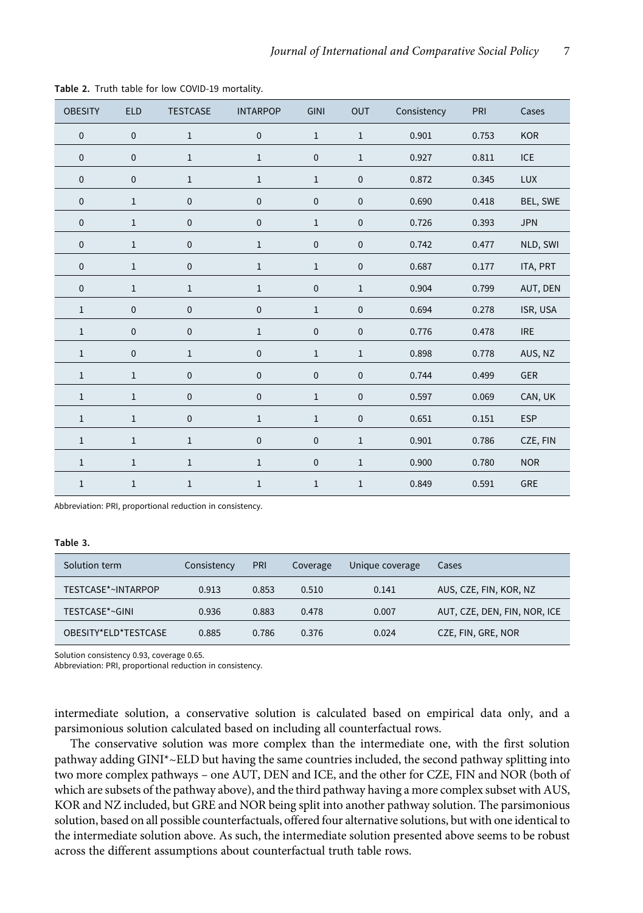| <b>OBESITY</b> | <b>ELD</b>   | <b>TESTCASE</b> | <b>INTARPOP</b> | <b>GINI</b>  | <b>OUT</b>  | Consistency | PRI   | Cases      |
|----------------|--------------|-----------------|-----------------|--------------|-------------|-------------|-------|------------|
| $\pmb{0}$      | $\mathbf 0$  | $\mathbf{1}$    | $\mathbf 0$     | $\mathbf 1$  | $\,1$       | 0.901       | 0.753 | <b>KOR</b> |
| $\pmb{0}$      | $\mathbf 0$  | $\mathbf{1}$    | $\mathbf{1}$    | 0            | $\,1$       | 0.927       | 0.811 | <b>ICE</b> |
| $\pmb{0}$      | $\mathbf 0$  | $\mathbf 1$     | $\mathbf 1$     | $\,1$        | $\mathbf 0$ | 0.872       | 0.345 | <b>LUX</b> |
| $\pmb{0}$      | $\mathbf{1}$ | $\pmb{0}$       | $\pmb{0}$       | $\pmb{0}$    | $\pmb{0}$   | 0.690       | 0.418 | BEL, SWE   |
| $\pmb{0}$      | $\,1\,$      | $\pmb{0}$       | $\pmb{0}$       | $\,1$        | $\pmb{0}$   | 0.726       | 0.393 | <b>JPN</b> |
| $\pmb{0}$      | $1\,$        | $\pmb{0}$       | $\mathbf 1$     | $\pmb{0}$    | $\mathbf 0$ | 0.742       | 0.477 | NLD, SWI   |
| $\pmb{0}$      | $\,1\,$      | $\pmb{0}$       | $\,1$           | $\,1$        | $\pmb{0}$   | 0.687       | 0.177 | ITA, PRT   |
| $\pmb{0}$      | $1\,$        | $\,1$           | $\,1$           | $\pmb{0}$    | $\,1\,$     | 0.904       | 0.799 | AUT, DEN   |
| $\,1$          | $\pmb{0}$    | $\pmb{0}$       | $\pmb{0}$       | $\,1$        | $\pmb{0}$   | 0.694       | 0.278 | ISR, USA   |
| $\mathbf 1$    | $\mathbf 0$  | $\pmb{0}$       | $\,1$           | $\pmb{0}$    | $\pmb{0}$   | 0.776       | 0.478 | <b>IRE</b> |
| $\mathbf 1$    | $\mathbf 0$  | $\,1\,$         | $\pmb{0}$       | $\mathbf{1}$ | $\,1$       | 0.898       | 0.778 | AUS, NZ    |
| $\mathbf 1$    | $1\,$        | $\pmb{0}$       | $\pmb{0}$       | $\pmb{0}$    | $\pmb{0}$   | 0.744       | 0.499 | GER        |
| $\mathbf 1$    | $\mathbf{1}$ | $\pmb{0}$       | $\mathbf 0$     | $\mathbf{1}$ | $\pmb{0}$   | 0.597       | 0.069 | CAN, UK    |
| $\mathbf 1$    | $\,1\,$      | $\pmb{0}$       | $\mathbf 1$     | $\mathbf{1}$ | $\pmb{0}$   | 0.651       | 0.151 | <b>ESP</b> |
| $\mathbf 1$    | $1\,$        | $\mathbf{1}$    | $\pmb{0}$       | $\pmb{0}$    | $\,1\,$     | 0.901       | 0.786 | CZE, FIN   |
| $\mathbf 1$    | $\mathbf{1}$ | $\mathbf{1}$    | $\mathbf{1}$    | $\pmb{0}$    | $\,1\,$     | 0.900       | 0.780 | <b>NOR</b> |
| $\mathbf 1$    | $\mathbf{1}$ | $\mathbf 1$     | $\mathbf 1$     | $\,1$        | $\,1$       | 0.849       | 0.591 | GRE        |

Table 2. Truth table for low COVID-19 mortality.

<span id="page-6-0"></span>Abbreviation: PRI, proportional reduction in consistency.

#### Table 3.

| Solution term        | Consistency | PRI   | Coverage | Unique coverage | Cases                        |
|----------------------|-------------|-------|----------|-----------------|------------------------------|
| TESTCASE*~INTARPOP   | 0.913       | 0.853 | 0.510    | 0.141           | AUS, CZE, FIN, KOR, NZ       |
| TESTCASE*~GINI       | 0.936       | 0.883 | 0.478    | 0.007           | AUT, CZE, DEN, FIN, NOR, ICE |
| OBESITY*ELD*TESTCASE | 0.885       | 0.786 | 0.376    | 0.024           | CZE, FIN, GRE, NOR           |

Solution consistency 0.93, coverage 0.65.

<span id="page-6-1"></span>Abbreviation: PRI, proportional reduction in consistency.

intermediate solution, a conservative solution is calculated based on empirical data only, and a parsimonious solution calculated based on including all counterfactual rows.

The conservative solution was more complex than the intermediate one, with the first solution pathway adding GINI\*~ELD but having the same countries included, the second pathway splitting into two more complex pathways – one AUT, DEN and ICE, and the other for CZE, FIN and NOR (both of which are subsets of the pathway above), and the third pathway having a more complex subset with AUS, KOR and NZ included, but GRE and NOR being split into another pathway solution. The parsimonious solution, based on all possible counterfactuals, offered four alternative solutions, but with one identical to the intermediate solution above. As such, the intermediate solution presented above seems to be robust across the different assumptions about counterfactual truth table rows.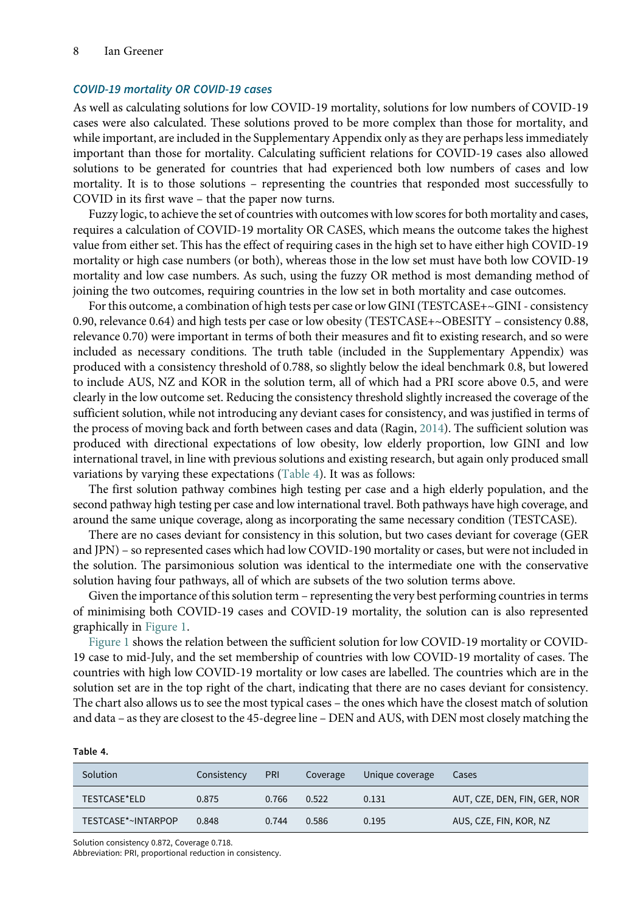#### COVID-19 mortality OR COVID-19 cases

As well as calculating solutions for low COVID-19 mortality, solutions for low numbers of COVID-19 cases were also calculated. These solutions proved to be more complex than those for mortality, and while important, are included in the Supplementary Appendix only as they are perhaps less immediately important than those for mortality. Calculating sufficient relations for COVID-19 cases also allowed solutions to be generated for countries that had experienced both low numbers of cases and low mortality. It is to those solutions – representing the countries that responded most successfully to COVID in its first wave – that the paper now turns.

Fuzzy logic, to achieve the set of countries with outcomes with low scores for both mortality and cases, requires a calculation of COVID-19 mortality OR CASES, which means the outcome takes the highest value from either set. This has the effect of requiring cases in the high set to have either high COVID-19 mortality or high case numbers (or both), whereas those in the low set must have both low COVID-19 mortality and low case numbers. As such, using the fuzzy OR method is most demanding method of joining the two outcomes, requiring countries in the low set in both mortality and case outcomes.

For this outcome, a combination of high tests per case or low GINI (TESTCASE+~GINI - consistency 0.90, relevance 0.64) and high tests per case or low obesity (TESTCASE+~OBESITY – consistency 0.88, relevance 0.70) were important in terms of both their measures and fit to existing research, and so were included as necessary conditions. The truth table (included in the Supplementary Appendix) was produced with a consistency threshold of 0.788, so slightly below the ideal benchmark 0.8, but lowered to include AUS, NZ and KOR in the solution term, all of which had a PRI score above 0.5, and were clearly in the low outcome set. Reducing the consistency threshold slightly increased the coverage of the sufficient solution, while not introducing any deviant cases for consistency, and was justified in terms of the process of moving back and forth between cases and data (Ragin, [2014\)](#page-13-18). The sufficient solution was produced with directional expectations of low obesity, low elderly proportion, low GINI and low international travel, in line with previous solutions and existing research, but again only produced small variations by varying these expectations [\(Table 4\)](#page-7-0). It was as follows:

The first solution pathway combines high testing per case and a high elderly population, and the second pathway high testing per case and low international travel. Both pathways have high coverage, and around the same unique coverage, along as incorporating the same necessary condition (TESTCASE).

There are no cases deviant for consistency in this solution, but two cases deviant for coverage (GER and JPN) – so represented cases which had low COVID-190 mortality or cases, but were not included in the solution. The parsimonious solution was identical to the intermediate one with the conservative solution having four pathways, all of which are subsets of the two solution terms above.

Given the importance of this solution term – representing the very best performing countries in terms of minimising both COVID-19 cases and COVID-19 mortality, the solution can is also represented graphically in [Figure 1](#page-8-0).

[Figure 1](#page-8-0) shows the relation between the sufficient solution for low COVID-19 mortality or COVID-19 case to mid-July, and the set membership of countries with low COVID-19 mortality of cases. The countries with high low COVID-19 mortality or low cases are labelled. The countries which are in the solution set are in the top right of the chart, indicating that there are no cases deviant for consistency. The chart also allows us to see the most typical cases – the ones which have the closest match of solution and data – as they are closest to the 45-degree line – DEN and AUS, with DEN most closely matching the

#### Table 4.

| Solution           | Consistency | <b>PRI</b> | Coverage | Unique coverage | Cases                        |
|--------------------|-------------|------------|----------|-----------------|------------------------------|
| TESTCASE*ELD       | 0.875       | 0.766      | 0.522    | 0.131           | AUT, CZE, DEN, FIN, GER, NOR |
| TESTCASE*~INTARPOP | 0.848       | 0.744      | 0.586    | 0.195           | AUS, CZE, FIN, KOR, NZ       |

Solution consistency 0.872, Coverage 0.718.

<span id="page-7-0"></span>Abbreviation: PRI, proportional reduction in consistency.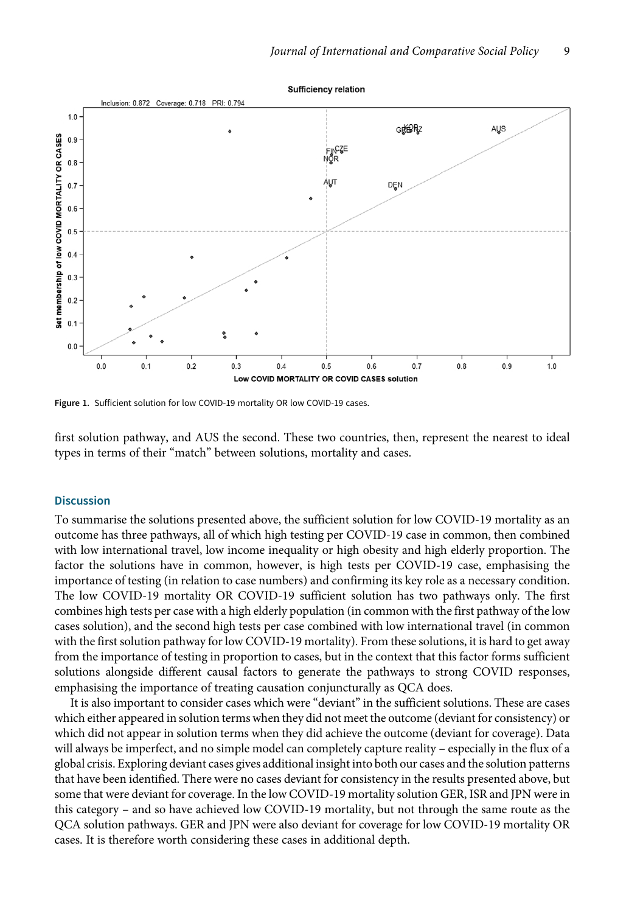<span id="page-8-0"></span>

Figure 1. Sufficient solution for low COVID-19 mortality OR low COVID-19 cases.

first solution pathway, and AUS the second. These two countries, then, represent the nearest to ideal types in terms of their "match" between solutions, mortality and cases.

# **Discussion**

To summarise the solutions presented above, the sufficient solution for low COVID-19 mortality as an outcome has three pathways, all of which high testing per COVID-19 case in common, then combined with low international travel, low income inequality or high obesity and high elderly proportion. The factor the solutions have in common, however, is high tests per COVID-19 case, emphasising the importance of testing (in relation to case numbers) and confirming its key role as a necessary condition. The low COVID-19 mortality OR COVID-19 sufficient solution has two pathways only. The first combines high tests per case with a high elderly population (in common with the first pathway of the low cases solution), and the second high tests per case combined with low international travel (in common with the first solution pathway for low COVID-19 mortality). From these solutions, it is hard to get away from the importance of testing in proportion to cases, but in the context that this factor forms sufficient solutions alongside different causal factors to generate the pathways to strong COVID responses, emphasising the importance of treating causation conjuncturally as QCA does.

It is also important to consider cases which were "deviant" in the sufficient solutions. These are cases which either appeared in solution terms when they did not meet the outcome (deviant for consistency) or which did not appear in solution terms when they did achieve the outcome (deviant for coverage). Data will always be imperfect, and no simple model can completely capture reality – especially in the flux of a global crisis. Exploring deviant cases gives additional insight into both our cases and the solution patterns that have been identified. There were no cases deviant for consistency in the results presented above, but some that were deviant for coverage. In the low COVID-19 mortality solution GER, ISR and JPN were in this category – and so have achieved low COVID-19 mortality, but not through the same route as the QCA solution pathways. GER and JPN were also deviant for coverage for low COVID-19 mortality OR cases. It is therefore worth considering these cases in additional depth.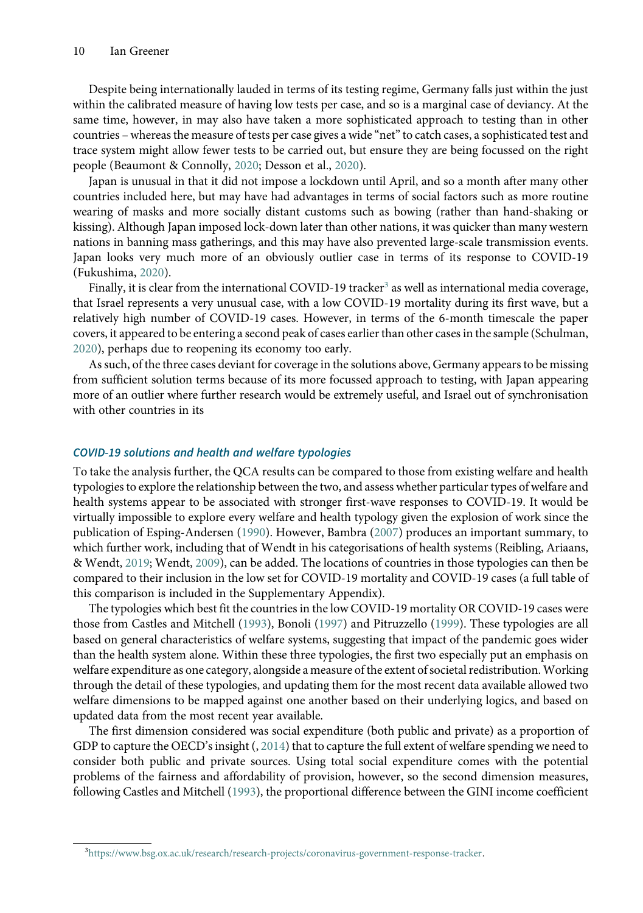Despite being internationally lauded in terms of its testing regime, Germany falls just within the just within the calibrated measure of having low tests per case, and so is a marginal case of deviancy. At the same time, however, in may also have taken a more sophisticated approach to testing than in other countries – whereas the measure of tests per case gives a wide "net"to catch cases, a sophisticated test and trace system might allow fewer tests to be carried out, but ensure they are being focussed on the right people (Beaumont & Connolly, [2020](#page-13-19); Desson et al., [2020\)](#page-13-20).

Japan is unusual in that it did not impose a lockdown until April, and so a month after many other countries included here, but may have had advantages in terms of social factors such as more routine wearing of masks and more socially distant customs such as bowing (rather than hand-shaking or kissing). Although Japan imposed lock-down later than other nations, it was quicker than many western nations in banning mass gatherings, and this may have also prevented large-scale transmission events. Japan looks very much more of an obviously outlier case in terms of its response to COVID-19 (Fukushima, [2020\)](#page-13-21).

Finally, it is clear from the international COVID-19 tracker<sup>[3](#page-9-0)</sup> as well as international media coverage, that Israel represents a very unusual case, with a low COVID-19 mortality during its first wave, but a relatively high number of COVID-19 cases. However, in terms of the 6-month timescale the paper covers, it appeared to be entering a second peak of cases earlier than other cases in the sample (Schulman, [2020\)](#page-14-4), perhaps due to reopening its economy too early.

As such, of the three cases deviant for coverage in the solutions above, Germany appears to be missing from sufficient solution terms because of its more focussed approach to testing, with Japan appearing more of an outlier where further research would be extremely useful, and Israel out of synchronisation with other countries in its

#### COVID-19 solutions and health and welfare typologies

To take the analysis further, the QCA results can be compared to those from existing welfare and health typologies to explore the relationship between the two, and assess whether particular types of welfare and health systems appear to be associated with stronger first-wave responses to COVID-19. It would be virtually impossible to explore every welfare and health typology given the explosion of work since the publication of Esping-Andersen [\(1990\)](#page-13-6). However, Bambra [\(2007\)](#page-13-8) produces an important summary, to which further work, including that of Wendt in his categorisations of health systems (Reibling, Ariaans, & Wendt, [2019;](#page-13-9) Wendt, [2009\)](#page-14-0), can be added. The locations of countries in those typologies can then be compared to their inclusion in the low set for COVID-19 mortality and COVID-19 cases (a full table of this comparison is included in the Supplementary Appendix).

The typologies which best fit the countries in the low COVID-19 mortality OR COVID-19 cases were those from Castles and Mitchell [\(1993\)](#page-13-22), Bonoli ([1997](#page-13-23)) and Pitruzzello ([1999](#page-13-24)). These typologies are all based on general characteristics of welfare systems, suggesting that impact of the pandemic goes wider than the health system alone. Within these three typologies, the first two especially put an emphasis on welfare expenditure as one category, alongside a measure of the extent of societal redistribution. Working through the detail of these typologies, and updating them for the most recent data available allowed two welfare dimensions to be mapped against one another based on their underlying logics, and based on updated data from the most recent year available.

The first dimension considered was social expenditure (both public and private) as a proportion of GDP to capture the OECD's insight (, [2014\)](#page-13-25) that to capture the full extent of welfare spending we need to consider both public and private sources. Using total social expenditure comes with the potential problems of the fairness and affordability of provision, however, so the second dimension measures, following Castles and Mitchell ([1993](#page-13-22)), the proportional difference between the GINI income coefficient

<span id="page-9-0"></span><sup>3</sup> <https://www.bsg.ox.ac.uk/research/research-projects/coronavirus-government-response-tracker>.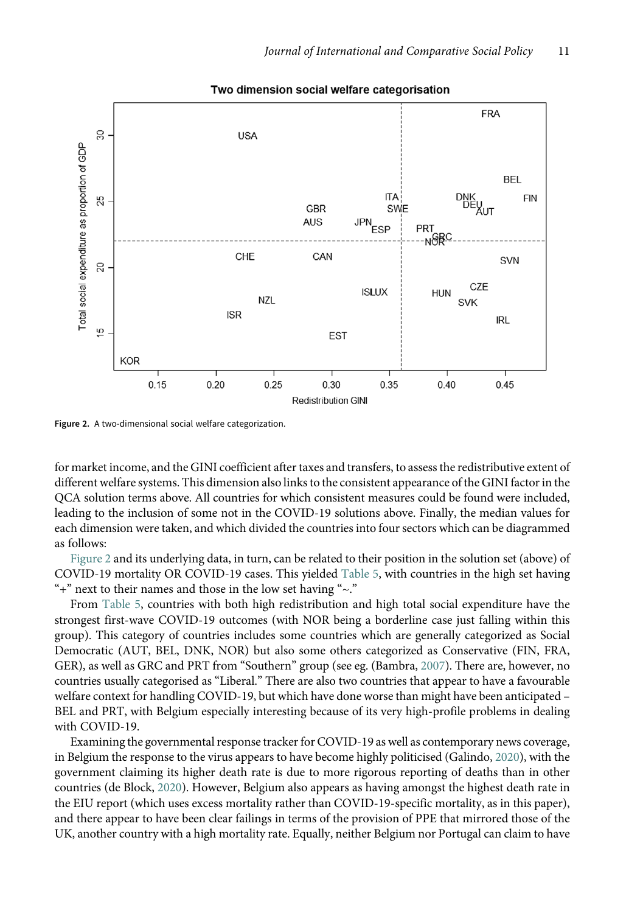<span id="page-10-0"></span>

#### Two dimension social welfare categorisation

Figure 2. A two-dimensional social welfare categorization.

for market income, and the GINI coefficient after taxes and transfers, to assess the redistributive extent of different welfare systems. This dimension also links to the consistent appearance of the GINI factor in the QCA solution terms above. All countries for which consistent measures could be found were included, leading to the inclusion of some not in the COVID-19 solutions above. Finally, the median values for each dimension were taken, and which divided the countries into four sectors which can be diagrammed as follows:

[Figure 2](#page-10-0) and its underlying data, in turn, can be related to their position in the solution set (above) of COVID-19 mortality OR COVID-19 cases. This yielded [Table 5](#page-11-0), with countries in the high set having "+" next to their names and those in the low set having " $\sim$ ."

From [Table 5,](#page-11-0) countries with both high redistribution and high total social expenditure have the strongest first-wave COVID-19 outcomes (with NOR being a borderline case just falling within this group). This category of countries includes some countries which are generally categorized as Social Democratic (AUT, BEL, DNK, NOR) but also some others categorized as Conservative (FIN, FRA, GER), as well as GRC and PRT from "Southern" group (see eg. (Bambra, [2007](#page-13-8)). There are, however, no countries usually categorised as "Liberal." There are also two countries that appear to have a favourable welfare context for handling COVID-19, but which have done worse than might have been anticipated – BEL and PRT, with Belgium especially interesting because of its very high-profile problems in dealing with COVID-19.

Examining the governmental response tracker for COVID-19 as well as contemporary news coverage, in Belgium the response to the virus appears to have become highly politicised (Galindo, [2020\)](#page-13-26), with the government claiming its higher death rate is due to more rigorous reporting of deaths than in other countries (de Block, [2020](#page-13-27)). However, Belgium also appears as having amongst the highest death rate in the EIU report (which uses excess mortality rather than COVID-19-specific mortality, as in this paper), and there appear to have been clear failings in terms of the provision of PPE that mirrored those of the UK, another country with a high mortality rate. Equally, neither Belgium nor Portugal can claim to have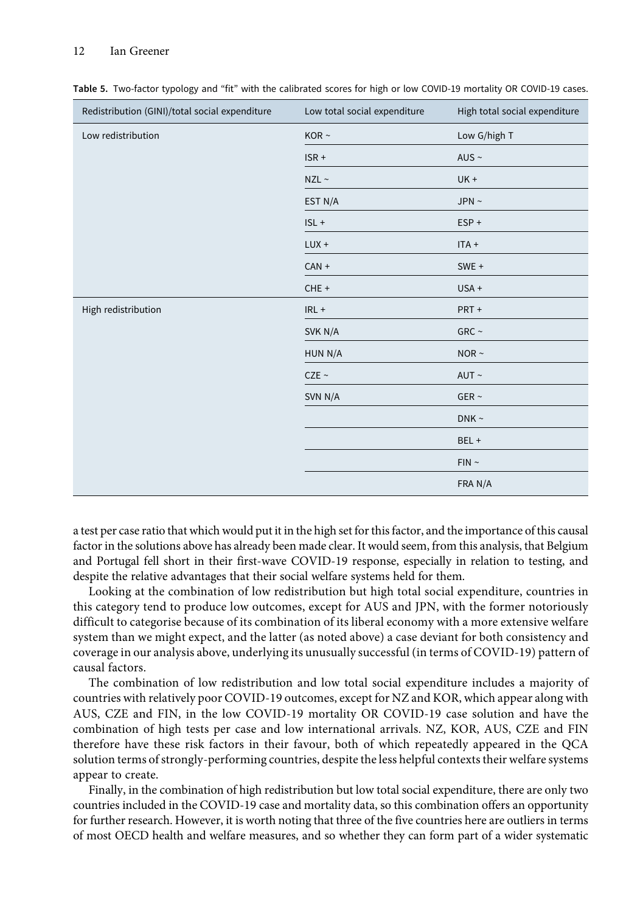#### 12 Ian Greener

| Redistribution (GINI)/total social expenditure | Low total social expenditure | High total social expenditure |
|------------------------------------------------|------------------------------|-------------------------------|
| Low redistribution                             | KOR $\sim$                   | Low G/high T                  |
|                                                | $ISR +$                      | AUS $\sim$                    |
|                                                | $NZL \sim$                   | $UK +$                        |
|                                                | EST N/A                      | JPN $\sim$                    |
|                                                | $ISL +$                      | $ESP +$                       |
|                                                | $LUX +$                      | $ITA +$                       |
|                                                | $CAN +$                      | $SWE +$                       |
|                                                | CHE +                        | USA +                         |
| High redistribution                            | $IRL +$                      | PRT+                          |
|                                                | SVK N/A                      | GRC $\sim$                    |
|                                                | HUN N/A                      | NOR $\sim$                    |
|                                                | CZE ~                        | AUT $\sim$                    |
|                                                | SVN N/A                      | GER $\sim$                    |
|                                                |                              | DNK $\sim$                    |
|                                                |                              | BEL +                         |
|                                                |                              | FIN ~ ~                       |
|                                                |                              | FRA N/A                       |

<span id="page-11-0"></span>Table 5. Two-factor typology and "fit" with the calibrated scores for high or low COVID-19 mortality OR COVID-19 cases.

a test per case ratio that which would put it in the high set for this factor, and the importance of this causal factor in the solutions above has already been made clear. It would seem, from this analysis, that Belgium and Portugal fell short in their first-wave COVID-19 response, especially in relation to testing, and despite the relative advantages that their social welfare systems held for them.

Looking at the combination of low redistribution but high total social expenditure, countries in this category tend to produce low outcomes, except for AUS and JPN, with the former notoriously difficult to categorise because of its combination of its liberal economy with a more extensive welfare system than we might expect, and the latter (as noted above) a case deviant for both consistency and coverage in our analysis above, underlying its unusually successful (in terms of COVID-19) pattern of causal factors.

The combination of low redistribution and low total social expenditure includes a majority of countries with relatively poor COVID-19 outcomes, except for NZ and KOR, which appear along with AUS, CZE and FIN, in the low COVID-19 mortality OR COVID-19 case solution and have the combination of high tests per case and low international arrivals. NZ, KOR, AUS, CZE and FIN therefore have these risk factors in their favour, both of which repeatedly appeared in the QCA solution terms of strongly-performing countries, despite the less helpful contexts their welfare systems appear to create.

Finally, in the combination of high redistribution but low total social expenditure, there are only two countries included in the COVID-19 case and mortality data, so this combination offers an opportunity for further research. However, it is worth noting that three of the five countries here are outliers in terms of most OECD health and welfare measures, and so whether they can form part of a wider systematic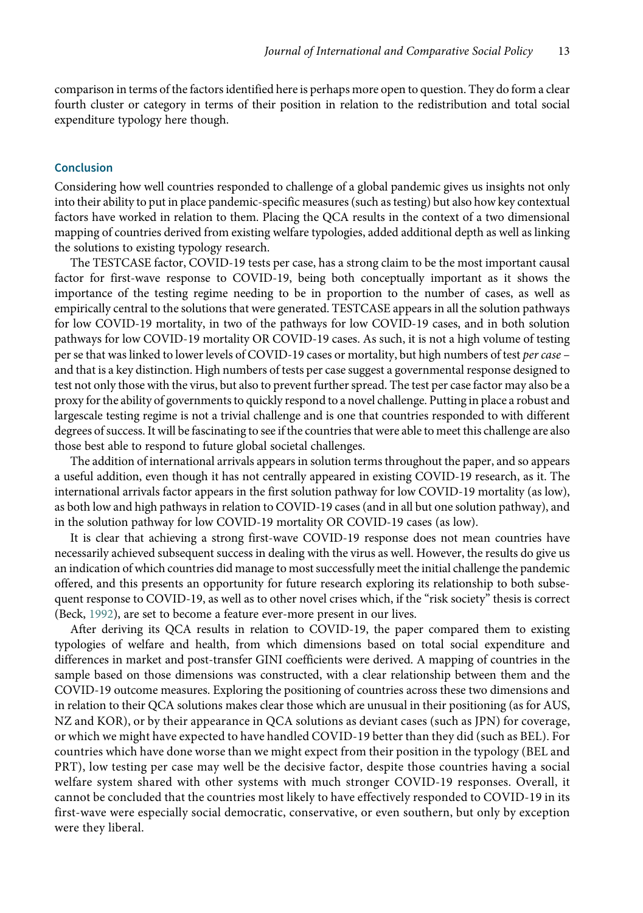comparison in terms of the factors identified here is perhaps more open to question. They do form a clear fourth cluster or category in terms of their position in relation to the redistribution and total social expenditure typology here though.

# Conclusion

Considering how well countries responded to challenge of a global pandemic gives us insights not only into their ability to put in place pandemic-specific measures (such as testing) but also how key contextual factors have worked in relation to them. Placing the QCA results in the context of a two dimensional mapping of countries derived from existing welfare typologies, added additional depth as well as linking the solutions to existing typology research.

The TESTCASE factor, COVID-19 tests per case, has a strong claim to be the most important causal factor for first-wave response to COVID-19, being both conceptually important as it shows the importance of the testing regime needing to be in proportion to the number of cases, as well as empirically central to the solutions that were generated. TESTCASE appears in all the solution pathways for low COVID-19 mortality, in two of the pathways for low COVID-19 cases, and in both solution pathways for low COVID-19 mortality OR COVID-19 cases. As such, it is not a high volume of testing per se that was linked to lower levels of COVID-19 cases or mortality, but high numbers of test per case – and that is a key distinction. High numbers of tests per case suggest a governmental response designed to test not only those with the virus, but also to prevent further spread. The test per case factor may also be a proxy for the ability of governments to quickly respond to a novel challenge. Putting in place a robust and largescale testing regime is not a trivial challenge and is one that countries responded to with different degrees of success. It will be fascinating to see if the countries that were able to meet this challenge are also those best able to respond to future global societal challenges.

The addition of international arrivals appears in solution terms throughout the paper, and so appears a useful addition, even though it has not centrally appeared in existing COVID-19 research, as it. The international arrivals factor appears in the first solution pathway for low COVID-19 mortality (as low), as both low and high pathways in relation to COVID-19 cases (and in all but one solution pathway), and in the solution pathway for low COVID-19 mortality OR COVID-19 cases (as low).

It is clear that achieving a strong first-wave COVID-19 response does not mean countries have necessarily achieved subsequent success in dealing with the virus as well. However, the results do give us an indication of which countries did manage to most successfully meet the initial challenge the pandemic offered, and this presents an opportunity for future research exploring its relationship to both subsequent response to COVID-19, as well as to other novel crises which, if the "risk society" thesis is correct (Beck, [1992\)](#page-13-28), are set to become a feature ever-more present in our lives.

After deriving its QCA results in relation to COVID-19, the paper compared them to existing typologies of welfare and health, from which dimensions based on total social expenditure and differences in market and post-transfer GINI coefficients were derived. A mapping of countries in the sample based on those dimensions was constructed, with a clear relationship between them and the COVID-19 outcome measures. Exploring the positioning of countries across these two dimensions and in relation to their QCA solutions makes clear those which are unusual in their positioning (as for AUS, NZ and KOR), or by their appearance in QCA solutions as deviant cases (such as JPN) for coverage, or which we might have expected to have handled COVID-19 better than they did (such as BEL). For countries which have done worse than we might expect from their position in the typology (BEL and PRT), low testing per case may well be the decisive factor, despite those countries having a social welfare system shared with other systems with much stronger COVID-19 responses. Overall, it cannot be concluded that the countries most likely to have effectively responded to COVID-19 in its first-wave were especially social democratic, conservative, or even southern, but only by exception were they liberal.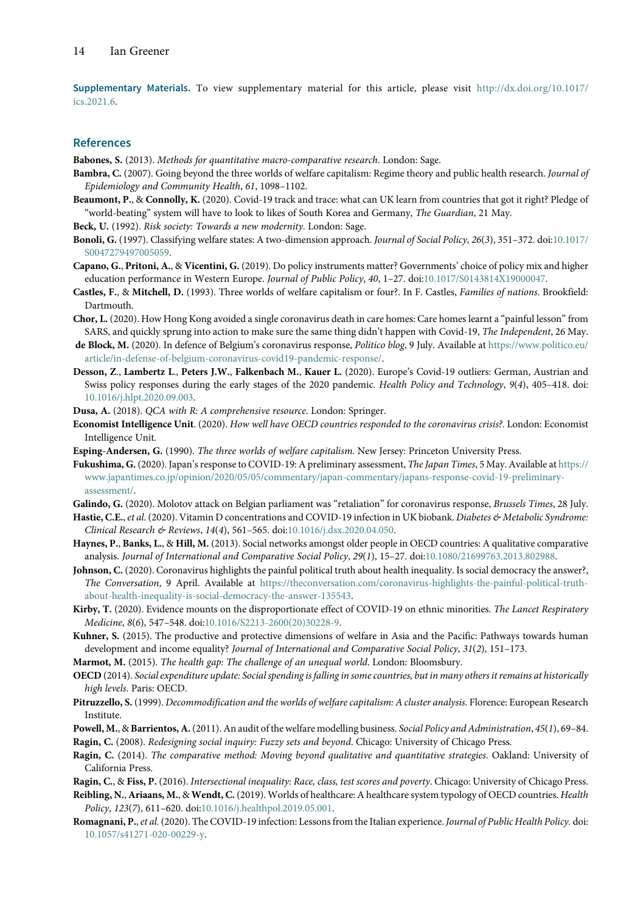Supplementary Materials. To view supplementary material for this article, please visit [http://dx.doi.org/10.1017/](http://dx.doi.org/10.1017/ics.2021.6) [ics.2021.6](http://dx.doi.org/10.1017/ics.2021.6).

#### **References**

<span id="page-13-12"></span>Babones, S. (2013). Methods for quantitative macro-comparative research. London: Sage.

- <span id="page-13-8"></span>Bambra, C. (2007). Going beyond the three worlds of welfare capitalism: Regime theory and public health research. Journal of Epidemiology and Community Health, 61, 1098–1102.
- <span id="page-13-19"></span>Beaumont, P., & Connolly, K. (2020). Covid-19 track and trace: what can UK learn from countries that got it right? Pledge of "world-beating" system will have to look to likes of South Korea and Germany, The Guardian, 21 May.

<span id="page-13-28"></span><span id="page-13-23"></span>Beck, U. (1992). Risk society: Towards a new modernity. London: Sage.

- Bonoli, G. (1997). Classifying welfare states: A two-dimension approach. Journal of Social Policy, 26(3), 351-372. doi[:10.1017/](https://doi.org/10.1017/S0047279497005059) [S0047279497005059.](https://doi.org/10.1017/S0047279497005059)
- <span id="page-13-15"></span>Capano, G., Pritoni, A., & Vicentini, G. (2019). Do policy instruments matter? Governments' choice of policy mix and higher education performance in Western Europe. Journal of Public Policy, 40, 1-27. doi[:10.1017/S0143814X19000047.](https://doi.org/10.1017/S0143814X19000047)
- <span id="page-13-22"></span>Castles, F., & Mitchell, D. (1993). Three worlds of welfare capitalism or four?. In F. Castles, Families of nations. Brookfield: Dartmouth.
- <span id="page-13-3"></span>Chor, L. (2020). How Hong Kong avoided a single coronavirus death in care homes: Care homes learnt a "painful lesson"from SARS, and quickly sprung into action to make sure the same thing didn't happen with Covid-19, The Independent, 26 May.
- <span id="page-13-27"></span>de Block, M. (2020). In defence of Belgium's coronavirus response, Politico blog, 9 July. Available at [https://www.politico.eu/](https://www.politico.eu/article/in-defense-of-belgium-coronavirus-covid19-pandemic-response/) [article/in-defense-of-belgium-coronavirus-covid19-pandemic-response/.](https://www.politico.eu/article/in-defense-of-belgium-coronavirus-covid19-pandemic-response/)
- <span id="page-13-20"></span>Desson, Z., Lambertz L., Peters J.W., Falkenbach M., Kauer L. (2020). Europe's Covid-19 outliers: German, Austrian and Swiss policy responses during the early stages of the 2020 pandemic. Health Policy and Technology, 9(4), 405–418. doi: [10.1016/j.hlpt.2020.09.003](https://doi.org/10.1016/j.hlpt.2020.09.003).
- <span id="page-13-17"></span><span id="page-13-4"></span>Dusa, A. (2018). QCA with R: A comprehensive resource. London: Springer.
- Economist Intelligence Unit. (2020). How well have OECD countries responded to the coronavirus crisis?. London: Economist Intelligence Unit.
- <span id="page-13-21"></span><span id="page-13-6"></span>Esping-Andersen, G. (1990). The three worlds of welfare capitalism. New Jersey: Princeton University Press.
- Fukushima, G. (2020). Japan's response to COVID-19: A preliminary assessment, The Japan Times, 5 May. Available at [https://](https://www.japantimes.co.jp/opinion/2020/05/05/commentary/japan-commentary/japans-response-covid-19-preliminary-assessment/) [www.japantimes.co.jp/opinion/2020/05/05/commentary/japan-commentary/japans-response-covid-19-preliminary](https://www.japantimes.co.jp/opinion/2020/05/05/commentary/japan-commentary/japans-response-covid-19-preliminary-assessment/)[assessment/.](https://www.japantimes.co.jp/opinion/2020/05/05/commentary/japan-commentary/japans-response-covid-19-preliminary-assessment/)
- <span id="page-13-26"></span><span id="page-13-0"></span>Galindo, G. (2020). Molotov attack on Belgian parliament was "retaliation" for coronavirus response, Brussels Times, 28 July.
- Hastie, C.E., et al. (2020). Vitamin D concentrations and COVID-19 infection in UK biobank. Diabetes & Metabolic Syndrome: Clinical Research & Reviews, 14(4), 561–565. doi:[10.1016/j.dsx.2020.04.050](https://doi.org/10.1016/j.dsx.2020.04.050).
- <span id="page-13-13"></span><span id="page-13-5"></span>Haynes, P., Banks, L., & Hill, M. (2013). Social networks amongst older people in OECD countries: A qualitative comparative analysis. Journal of International and Comparative Social Policy, 29(1), 15–27. doi[:10.1080/21699763.2013.802988.](https://doi.org/10.1080/21699763.2013.802988)
- Johnson, C. (2020). Coronavirus highlights the painful political truth about health inequality. Is social democracy the answer?, The Conversation, 9 April. Available at [https://theconversation.com/coronavirus-highlights-the-painful-political-truth](https://theconversation.com/coronavirus-highlights-the-painful-political-truth-about-health-inequality-is-social-democracy-the-answer-135543)[about-health-inequality-is-social-democracy-the-answer-135543](https://theconversation.com/coronavirus-highlights-the-painful-political-truth-about-health-inequality-is-social-democracy-the-answer-135543).
- <span id="page-13-14"></span><span id="page-13-1"></span>Kirby, T. (2020). Evidence mounts on the disproportionate effect of COVID-19 on ethnic minorities. The Lancet Respiratory Medicine, 8(6), 547–548. doi[:10.1016/S2213-2600\(20\)30228-9](https://doi.org/10.1016/S2213-2600(20)30228-9).
- <span id="page-13-10"></span>Kuhner, S. (2015). The productive and protective dimensions of welfare in Asia and the Pacific: Pathways towards human development and income equality? Journal of International and Comparative Social Policy, 31(2), 151–173.
- <span id="page-13-25"></span>Marmot, M. (2015). The health gap: The challenge of an unequal world. London: Bloomsbury.
- <span id="page-13-24"></span>OECD (2014). Social expenditure update: Social spending is falling in some countries, but in many others it remains at historically high levels. Paris: OECD.
- <span id="page-13-7"></span>Pitruzzello, S. (1999). Decommodification and the worlds of welfare capitalism: A cluster analysis. Florence: European Research Institute.
- <span id="page-13-16"></span>Powell, M., & Barrientos, A. (2011). An audit of the welfare modelling business. Social Policy and Administration, 45(1), 69-84.
- <span id="page-13-18"></span>Ragin, C. (2008). Redesigning social inquiry: Fuzzy sets and beyond. Chicago: University of Chicago Press.
- <span id="page-13-2"></span>Ragin, C. (2014). The comparative method: Moving beyond qualitative and quantitative strategies. Oakland: University of California Press.
- <span id="page-13-9"></span>Ragin, C., & Fiss, P. (2016). Intersectional inequality: Race, class, test scores and poverty. Chicago: University of Chicago Press.
- <span id="page-13-11"></span>Reibling, N., Ariaans, M., & Wendt, C. (2019). Worlds of healthcare: A healthcare system typology of OECD countries. Health Policy, 123(7), 611–620. doi[:10.1016/j.healthpol.2019.05.001.](https://doi.org/10.1016/j.healthpol.2019.05.001)
- Romagnani, P., et al. (2020). The COVID-19 infection: Lessons from the Italian experience. Journal of Public Health Policy. doi: [10.1057/s41271-020-00229-y.](https://doi.org/10.1057/s41271-020-00229-y)